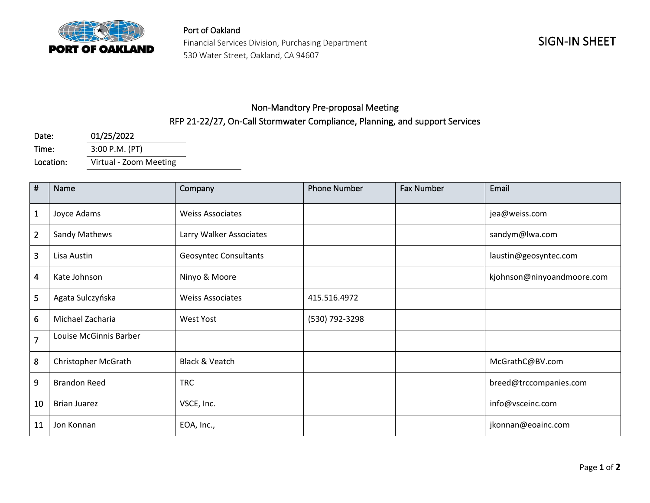

Port of Oakland Financial Services Division, Purchasing Department 530 Water Street, Oakland, CA 94607

## Non-Mandtory Pre-proposal Meeting RFP 21-22/27, On-Call Stormwater Compliance, Planning, and support Services

| Date:     | 01/25/2022             |  |
|-----------|------------------------|--|
| Time:     | 3:00 P.M. (PT)         |  |
| Location: | Virtual - Zoom Meeting |  |

| $\pmb{\sharp}$ | Name                   | Company                      | <b>Phone Number</b> | <b>Fax Number</b> | Email                      |
|----------------|------------------------|------------------------------|---------------------|-------------------|----------------------------|
| $\mathbf{1}$   | Joyce Adams            | <b>Weiss Associates</b>      |                     |                   | jea@weiss.com              |
| $\overline{2}$ | Sandy Mathews          | Larry Walker Associates      |                     |                   | sandym@lwa.com             |
| 3              | Lisa Austin            | <b>Geosyntec Consultants</b> |                     |                   | laustin@geosyntec.com      |
| 4              | Kate Johnson           | Ninyo & Moore                |                     |                   | kjohnson@ninyoandmoore.com |
| 5              | Agata Sulczyńska       | <b>Weiss Associates</b>      | 415.516.4972        |                   |                            |
| 6              | Michael Zacharia       | <b>West Yost</b>             | (530) 792-3298      |                   |                            |
| $\overline{7}$ | Louise McGinnis Barber |                              |                     |                   |                            |
| 8              | Christopher McGrath    | Black & Veatch               |                     |                   | McGrathC@BV.com            |
| 9              | <b>Brandon Reed</b>    | <b>TRC</b>                   |                     |                   | breed@trccompanies.com     |
| 10             | <b>Brian Juarez</b>    | VSCE, Inc.                   |                     |                   | info@vsceinc.com           |
| 11             | Jon Konnan             | EOA, Inc.,                   |                     |                   | jkonnan@eoainc.com         |